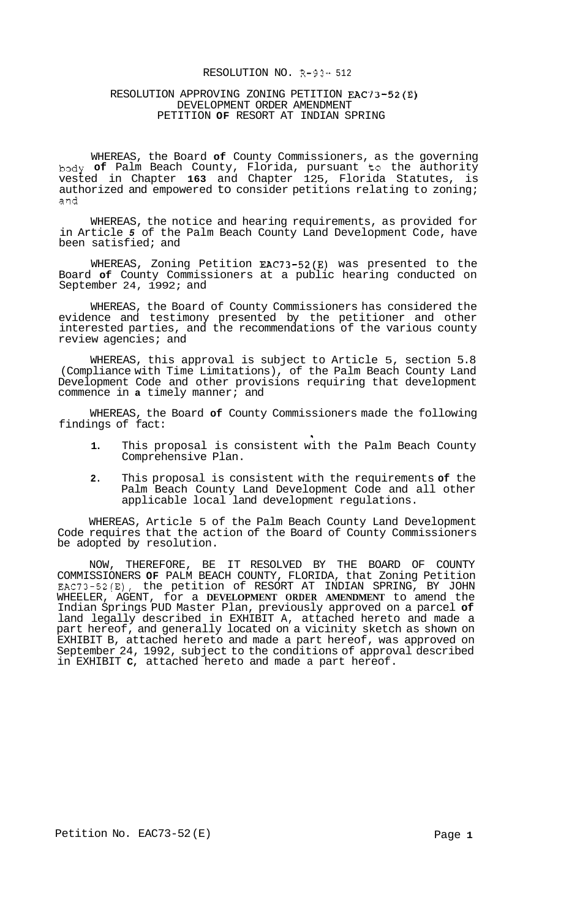#### RESOLUTION NO. R-93 ~~ 512

## RESOLUTION APPROVING ZONING PETITION EAC73-52(E) DEVELOPMENT ORDER AMENDMENT PETITION **OF** RESORT AT INDIAN SPRING

WHEREAS, the Board **of** County Commissioners, as the governing body **of** Palm Beach County, Florida, pursuant to the authority vested in Chapter **163** and Chapter 125, Florida Statutes, is authorized and empowered to consider petitions relating to zoning; and

WHEREAS, the notice and hearing requirements, as provided for in Article *5* of the Palm Beach County Land Development Code, have been satisfied; and

WHEREAS, Zoning Petition EAC73-52(E) was presented to the Board **of** County Commissioners at a public hearing conducted on September 24, 1992; and

WHEREAS, the Board of County Commissioners has considered the evidence and testimony presented by the petitioner and other interested parties, and the recommendations of the various county review agencies; and

WHEREAS, this approval is subject to Article 5, section 5.8 (Compliance with Time Limitations), of the Palm Beach County Land Development Code and other provisions requiring that development commence in **a** timely manner; and

WHEREAS, the Board **of** County Commissioners made the following findings of fact:

**1.** This proposal is consistent with the Palm Beach County Comprehensive Plan.

**1** 

**2.** This proposal is consistent with the requirements **of** the Palm Beach County Land Development Code and all other applicable local land development regulations.

WHEREAS, Article 5 of the Palm Beach County Land Development Code requires that the action of the Board of County Commissioners be adopted by resolution.

NOW, THEREFORE, BE IT RESOLVED BY THE BOARD OF COUNTY COMMISSIONERS **OF** PALM BEACH COUNTY, FLORIDA, that Zoning Petition EAC73-52(E), the petition of RESORT AT INDIAN SPRING, BY JOHN WHEELER, AGENT, for a **DEVELOPMENT ORDER AMENDMENT** to amend the Indian Springs PUD Master Plan, previously approved on a parcel **of**  land legally described in EXHIBIT A, attached hereto and made a part hereof, and generally located on a vicinity sketch as shown on EXHIBIT B, attached hereto and made a part hereof, was approved on September 24, 1992, subject to the conditions of approval described in EXHIBIT **C,** attached hereto and made a part hereof.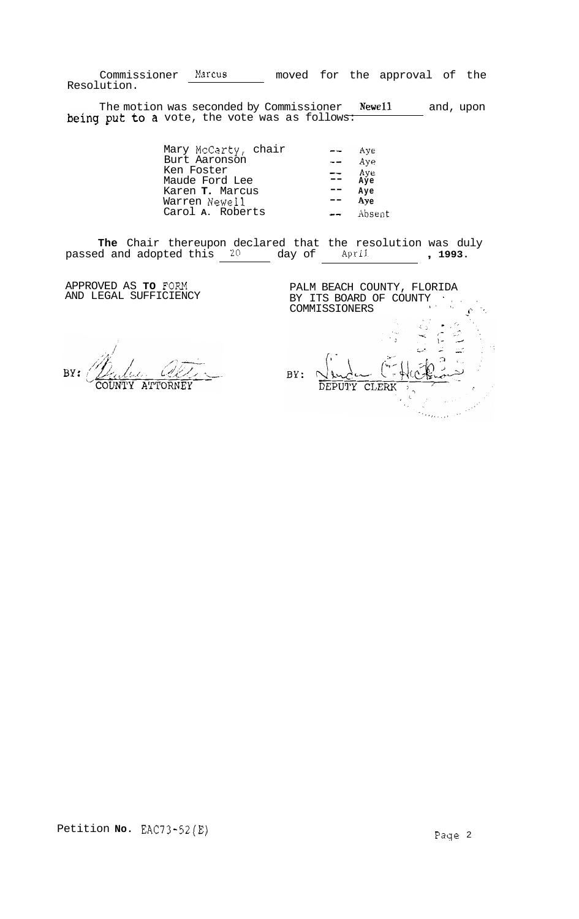Commissioner Marcus moved for the approval of the Resolution.

The motion was seconded by Commissioner **Newell** and, upon vote, the vote was as follows:

| Mary McCarty, chair |                | Ave             |
|---------------------|----------------|-----------------|
| Burt Aaronson       |                | Aye             |
| Ken Foster          | $\mathbb{R}^+$ | Aye             |
| Maude Ford Lee      |                | $A\bar{y}e$     |
| Karen T. Marcus     |                | Aye             |
| Warren Newell       |                | Ay <sub>e</sub> |
| Carol A. Roberts    |                | Absent          |

**The** Chair thereupon declared that the resolution was duly passed and adopted this  $\frac{20}{4}$  day of April , 1993.

APPROVED AS **TO** FORM AND LEGAL SUFFICIENCY

Cell BY: COUNTY ATTORNEY

PALM BEACH COUNTY, FLORIDA BY ITS BOARD OF COUNTY<br>COMMISSIONERS i' **.I.** -  $\frac{1}{\sqrt{2}}$  $\overline{\phantom{a}}$  $\zeta$  : ί× BY: DEPUTY CLERK وللمردد وأورده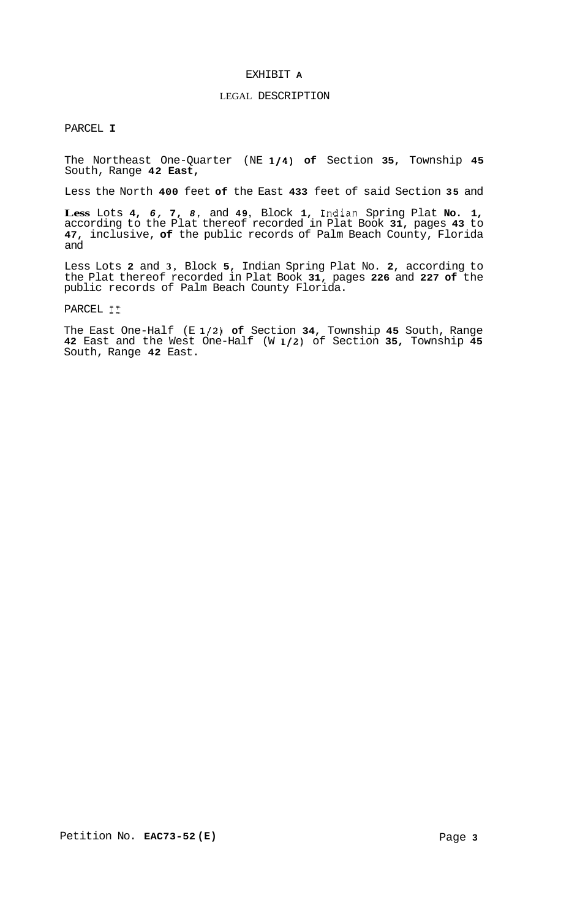## EXHIBIT **A**

## LEGAL DESCRIPTION

PARCEL **I** 

The Northeast One-Quarter (NE **1/4) of** Section **35,** Township **45**  South, Range **42 East,** 

Less the North **400** feet **of** the East **433** feet of said Section **35** and

**Less** Lots **4,** *6,* **7,** *8,* and **49,** Block **1,** Indian Spring Plat **No. 1,**  according to the Plat thereof recorded in Plat Book **31,** pages **43** to **47,** inclusive, **of** the public records of Palm Beach County, Florida and

Less Lots **2** and **3,** Block **5,** Indian Spring Plat No. **2,** according to the Plat thereof recorded in Plat Book **31,** pages **226** and **227 of** the public records of Palm Beach County Florida.

PARCEL I1

The East One-Half (E **1/2) of** Section **34,** Township **45** South, Range **42** East and the West One-Half (W **1/2)** of Section **35,** Township **45**  South, Range **42** East.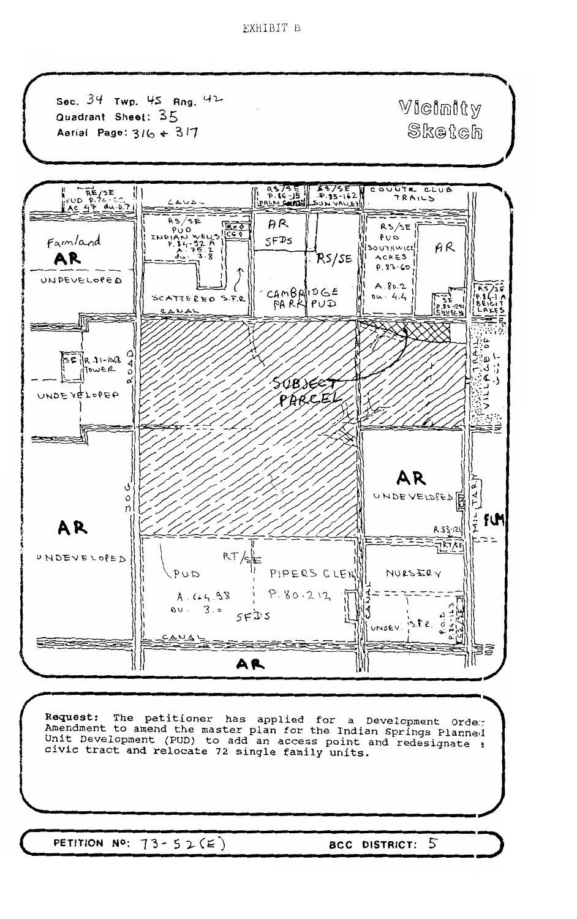EXHIBIT B



PETITION NO:  $73 - 52(E)$ 

5 **BCC DISTRICT:**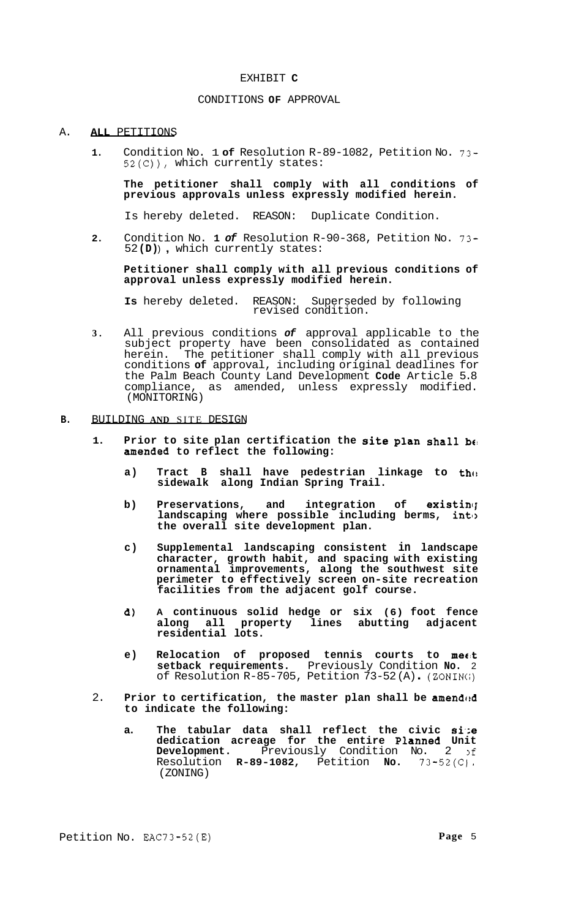#### EXHIBIT **C**

#### CONDITIONS **OF** APPROVAL

#### A. **ALL** PETITIONS

**1.** Condition No. 1 **of** Resolution R-89-1082, Petition No. 73- 52(C)), which currently states:

**The petitioner shall comply with all conditions of previous approvals unless expressly modified herein.** 

Is hereby deleted. REASON: Duplicate Condition.

**2.** Condition No. **1** *of* Resolution R-90-368, Petition No. 73- <sup>52</sup>**(D)** ) , which currently states:

**Petitioner shall comply with all previous conditions of approval unless expressly modified herein.** 

**Is** hereby deleted. REASON: Superseded by following revised condition.

**3.** All previous conditions *of* approval applicable to the subject property have been consolidated as contained herein. The petitioner shall comply with all previous conditions **of** approval, including original deadlines for the Palm Beach County Land Development **Code** Article 5.8 compliance, as amended, unless expressly modified. (MONITORING)

## **B.** BUILDING **AND** SITE DESIGN

- **1. Prior to site plan certification the site plan shall bt!**  amended to reflect the following:
	- a) Tract B shall have pedestrian linkage to th $\alpha$ **sidewalk along Indian Spring Trail.**
	- **b)** Preservations, and integration of existing **landscaping where possible including berms, inti> the overall site development plan.**
	- **c) Supplemental landscaping consistent in landscape character, growth habit, and spacing with existing ornamental improvements, along the southwest site perimeter to effectively screen on-site recreation facilities from the adjacent golf course.**
	- **d) A continuous solid hedge or six (6) foot fence along all property lines abutting adjacent residential lots.**
	- **e) Relocation of proposed tennis courts to mee:t setback requirements.** Previously Condition **No.** 2 of Resolution R-85-705, Petition 73-52 (A) . (ZONIN(;)
- 2. **Prior to certification, the master plan shall be amended to indicate the following:** 
	- **a. The tabular data shall reflect the civic si.;e dedication acreage for the entire Planned Unit Development.** Previously Condition No. 2 >f Resolution **R-89-1082,** Petition **No.** 73-52(C). (ZONING)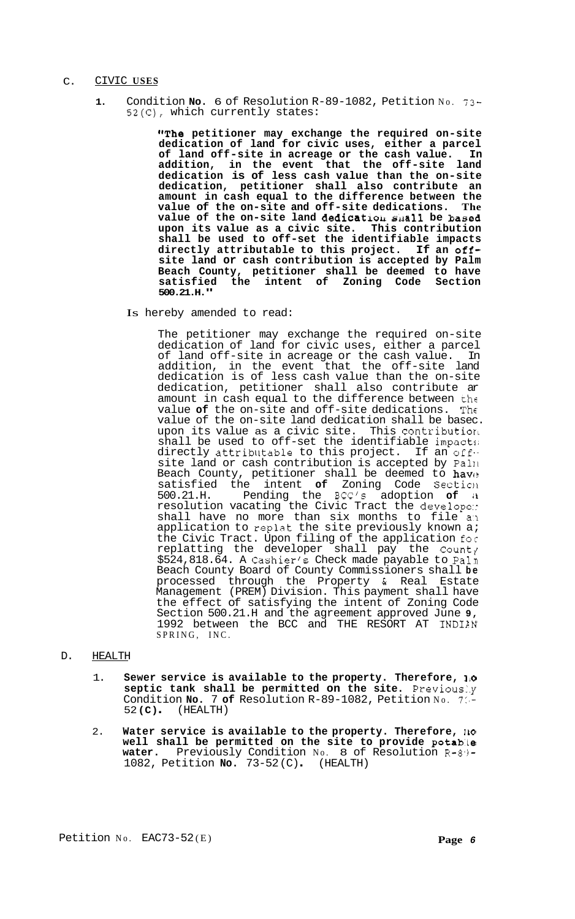## C. CIVIC **USES**

**1.** Condition **No.** 6 of Resolution R-89-1082, Petition No. 73- 52(C), which currently states:

> **"The petitioner may exchange the required on-site dedication of land for civic uses, either a parcel of land off-site in acreage or the cash value. In addition, in the event that the off-site land dedication is of less cash value than the on-site dedication, petitioner shall also contribute an amount in cash equal to the difference between the**  value of the on-site and off-site dedications. **value of the on-site land dedieatrou mall be based upon its value as a civic site. This contribution shall be used to off-set the identifiable impacts directly attributable to this project. If an offsite land or cash contribution is accepted by Palm Beach County, petitioner shall be deemed to have satisfied the intent of Zoning Code Section 500.21.H."**

Is hereby amended to read:

The petitioner may exchange the required on-site dedication of land for civic uses, either a parcel of land off-site in acreage or the cash value. In addition, in the event that the off-site land dedication is of less cash value than the on-site dedication, petitioner shall also contribute ar amount in cash equal to the difference between the value **of** the on-site and off-site dedications. The value of the on-site land dedication shall be basec. upon its value as a civic site. This contribution shall be used to off-set the identifiable impacts directly attributable to this project. If an offsite land or cash contribution is accepted by Pal11 Beach County, petitioner shall be deemed to have satisfied the intent **of** Zoning Code Section 500.21.H. Pending the BCC's adoption **of il**  resolution vacating the Civic Tract the develope:: shall have no more than six months to file an application to replat the site previously known a; the Civic Tract. Upon filing of the application for replatting the developer shall pay the County \$524,818.64. A Cashier's Check made payable to Paln Beach County Board of County Commissioners shall **be**  processed through the Property & Real Estate Management (PREM) Division. This payment shall have the effect of satisfying the intent of Zoning Code Section 500.21.H and the agreement approved June **9,**  1992 between the BCC and THE RESORT AT INDIAN SPRING, INC.

# D. HEALTH

- 1. Sewer service is available to the property. Therefore, 10 **septic tank shall be permitted on the site.** Previous:.y Condition **No.** 7 **of** Resolution R-89-1082, Petition No. 7:'- <sup>52</sup>**(C)** . (HEALTH)
- 2. **Water service is available to the property. Therefore, <sup>110</sup> well shall be permitted on the site to provide potab:te**  water. Previously Condition No. 8 of Resolution R-89-<br>1082, Petition **No.** 73-52(C). (HEALTH)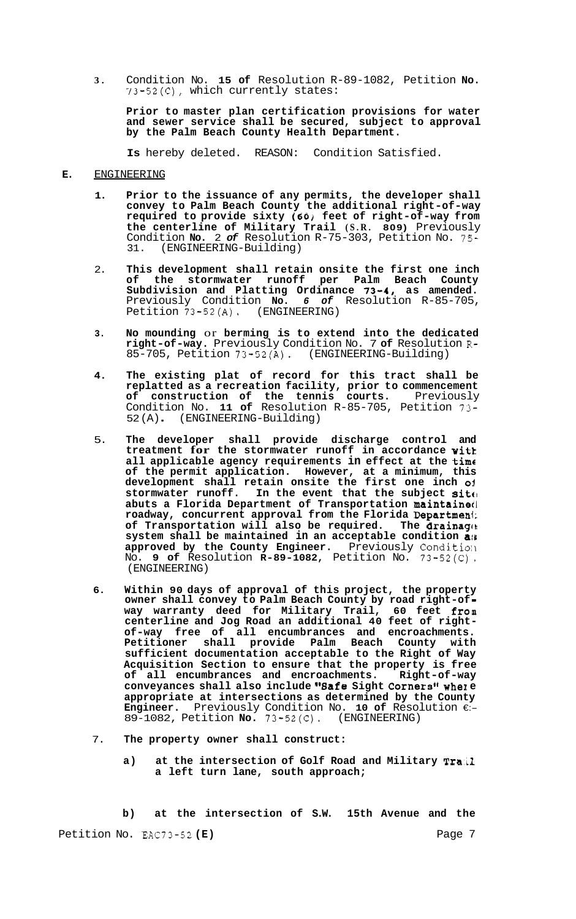**3.** Condition No. **15 of** Resolution R-89-1082, Petition **No.**  73-52(C), which currently states:

**Prior to master plan certification provisions for water and sewer service shall be secured, subject to approval by the Palm Beach County Health Department.** 

**Is** hereby deleted. REASON: Condition Satisfied.

## **E.** ENGINEERING

- **1. Prior to the issuance of any permits, the developer shall convey to Palm Beach County the additional right-of-way**  required to provide sixty (60) feet of right-of-way from **the centerline of Military Trail (S.R. 809)** Previously Condition **No.** 2 *of* Resolution R-75-303, Petition No. 75- 31. (ENGINEERING-Building)
- 2. **This development shall retain onsite the first one inch of the stormwater runoff per Palm Beach County**  Subdivision and Platting Ordinance 73-4, as amended. Previously Condition **No.** *6 of* Resolution R-85-705, Petition 73-52(A). (ENGINEERING)
- **3. No mounding** or **berming is to extend into the dedicated right-of-way.** Previously Condition No. 7 **of** Resolution R-85-705, Petition 73-52(A). (ENGINEERING-Building)
- **4. The existing plat of record for this tract shall be replatted as a recreation facility, prior to commencement of construction of the tennis courts.** Previously Condition No. **11 of** Resolution R-85-705, Petition 73- 52 (A) . (ENGINEERING-Building)
- 5. **The developer shall provide discharge control and treatment for the stormwater runoff in accordance witk all applicable agency requirements in effect at the time of the permit application. However, at a minimum, this development shall retain onsite the first one inch ol**  stormwater runoff. In the event that the subject site **abuts a Florida Department of Transportation maintainetl roadway, concurrent approval from the Florida Departmeni; of Transportation will also be required. The drainage, system shall be maintained in an acceptable condition a!i approved by the County Engineer.** Previously Conditio:I No. **9 of** Resolution **R-89-1082,** Petition No. 73-52(C) , (ENGINEERING)
- **6. Within 90 days of approval of this project, the property owner shall convey to Palm Beach County by road right-of way warranty deed for Military Trail, 60 feet from**  of-way free of all encumbrances and encroachments. **Petitioner shall provide Palm Beach County with sufficient documentation acceptable to the Right of Way Acquisition Section to ensure that the property is free of all encumbrances and encroachments. Right-of-way**  conveyances shall also include "Safe Sight Corners" where **appropriate at intersections as determined by the County Engineer.** Previously Condition No. **10 of** Resolution €:- 89-1082, Petition **No.** 73-52(C). (ENGINEERING)
- 7. **The property owner shall construct:** 
	- **a) at the intersection of Golf Road and Military Tra:il a left turn lane, south approach;**

**b) at the intersection of S.W. 15th Avenue and the**  Petition No. EAC73-52 (E) **Page 7** Page 7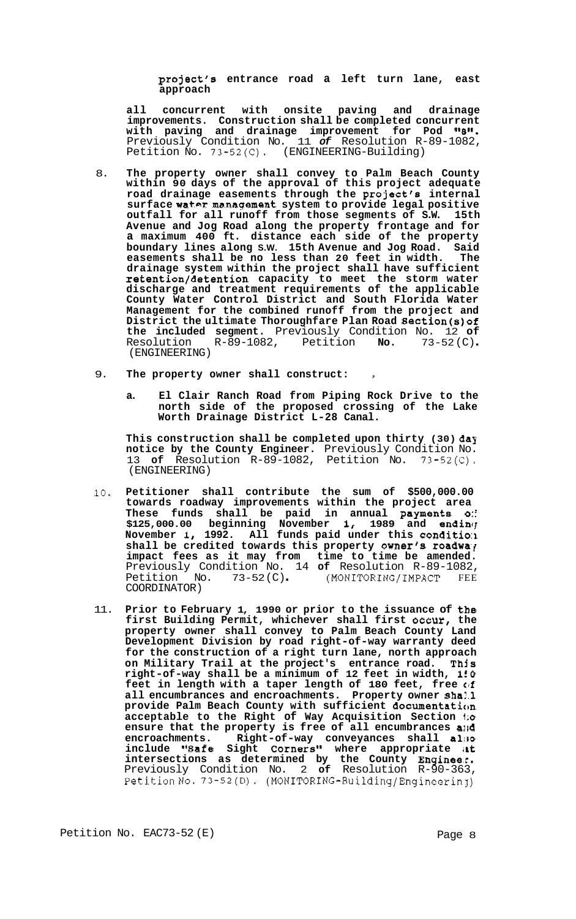**project's entrance road a left turn lane, east approach** 

**all concurrent with onsite paving and drainage improvements. Construction shall be completed concurrent**  with paving and drainage improvement for Pod "8". Previously Condition No. 11 *of* Resolution R-89-1082, Petition No. 73-52(C). (ENGINEERING-Building)

- 8. **The property owner shall convey to Palm Beach County within 90 days of the approval of this project adequate road drainage easements through the project's internal**  surface water management system to provide legal positive **outfall for all runoff from those segments of S.W. 15th Avenue and Jog Road along the property frontage and for a maximum 400 ft. distance each side of the property boundary lines along S.W. 15th Avenue and Jog Road. Said easements shall be no less than 20 feet in width. The drainage system within the project shall have sufficient retention/detention capacity to meet the storm water discharge and treatment requirements of the applicable County Water Control District and South Florida Water Management for the combined runoff from the project and District the ultimate Thoroughfare Plan Road Section(s)of the included segment.** Previously Condition No. 12 **of**  Resolution R-89-1082, Petition **No.** 73-52 (C) . (ENGINEERING)
- 9. **The property owner shall construct: <sup>I</sup>**
	- **a. El Clair Ranch Road from Piping Rock Drive to the north side of the proposed crossing of the Lake Worth Drainage District L-28 Canal.**

**This construction shall be completed upon thirty (30) day notice by the County Engineer.** Previously Condition No. 13 **of** Resolution R-89-1082, Petition No. 73-52(C). (ENGINEERING)

- 10. **Petitioner shall contribute the sum of \$500,000.00 towards roadway improvements within the project area These funds shall be paid in annual payments** *0::*  \$125,000.00 beginning November 1, 1989 and ending **November 1, 1992. All funds paid under this conditio:I**  shall be credited towards this property owner's roadway **impact fees as it may from time to time be amended.**  Previously Condition No. 14 **of** Resolution R-89-1082, Petition No. 73-52 (C) . (MONITORING/IMPACT FEE COORDINATOR)
- 11. **Prior to February 1, 1990 or prior to the issuance of the first Building Permit, whichever shall first occur, the property owner shall convey to Palm Beach County Land Development Division by road right-of-way warranty deed for the construction of a right turn lane, north approach on Military Trail at the project's entrance road. This right-of-way shall be a minimum of 12 feet in width, 150 feet in length with a taper length of 180 feet, free** *ctf*  **all encumbrances and encroachments. Property owner shal.1 provide Palm Beach County with sufficient documentation acceptable to the Right of Way Acquisition Section i;o ensure that the property is free of all encumbrances sild encroachments.** Right-of-way conveyances shall also include "Safe Sight Corners" where appropriate at intersections as determined by the County Engineer. Previously Condition No. 2 **of** Resolution R-90-363, PetitionNo. 73-52(D). **(MONITORING-Building/Engineering)**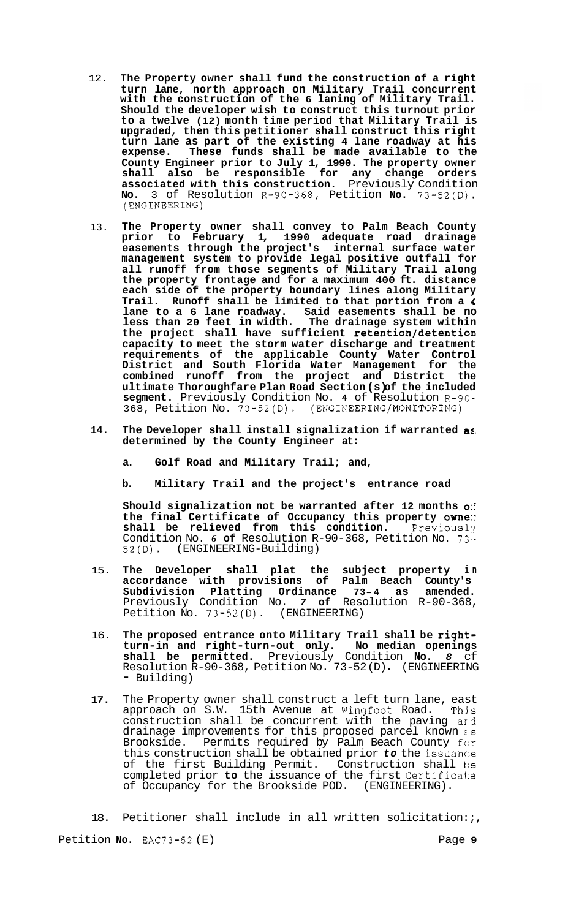- 12. **The Property owner shall fund the construction of a right turn lane, north approach on Military Trail concurrent with the construction of the 6 laning of Military Trail. Should the developer wish to construct this turnout prior to a twelve (12) month time period that Military Trail is upgraded, then this petitioner shall construct this right turn lane as part of the existing 4 lane roadway at his expense. These funds shall be made available to the County Engineer prior to July 1, 1990. The property owner shall also be responsible for any change orders associated with this construction.** Previously Condition **No.** 3 of Resolution R-90-368, Petition **No.** 73-52(D). (ENGINEERING)
- 13. **The Property owner shall convey to Palm Beach County prior to February 1, 1990 adequate road drainage easements through the project's internal surface water management system to provide legal positive outfall for all runoff from those segments of Military Trail along the property frontage and for a maximum 400 ft. distance each side of the property boundary lines along Military Trail. Runoff shall be limited to that portion from a** *4*  **lane to a 6 lane roadway. Said easements shall be no less than 20 feet in width. The drainage system within the project shall have sufficient retention/detentioa capacity to meet the storm water discharge and treatment requirements of the applicable County Water Control District and South Florida Water Management for the combined runoff from the project and District the ultimate Thoroughfare Plan Road Section (s) of the included segment.** Previously Condition No. **4** of Resolution R-90- 368, Petition No. 73-52(D). **(ENGINEERING/MONITORING)**
- **14. The Developer shall install signalization if warranted as, determined by the County Engineer at:** 
	- **a. Golf Road and Military Trail; and,**
	- **b. Military Trail and the project's entrance road**

**Should signalization not be warranted after 12 months 01: the final Certificate of Occupancy this property one:: shall be relieved from this condition.** Previously Condition No. 6 of Resolution R-90-368, Petition No. 73.<br>52(D). (ENGINEERING-Building) (ENGINEERING-Building)

- 15. **The Developer shall plat the subject property in accordance with provisions of Palm Beach County's Subdivision Platting Ordinance 73-4 as amended.**  Previously Condition No. *7* **of** Resolution R-90-368, Petition No. 73-52(D). (ENGINEERING)
- 16. **The proposed entrance onto Military Trail shall be rightturn-in and right-turn-out only. No median openings shall be permitted.** Previously Condition **No.** *8* cf Resolution R-90-368, Petition No. 73-52 (D) . (ENGINEERING - Building)
- **17.** The Property owner shall construct a left turn lane, east approach on S.W. 15th Avenue at Wingfoot Road. Thjs construction shall be concurrent with the paving ar.d drainage improvements for this proposed parcel known *i.s*  Brookside. Permits required by Palm Beach County for this construction shall be obtained prior *to* the issuanc:e of the first Building Permit. Construction shall 1)e completed prior **to** the issuance of the first Certifica1:e of Occupancy for the Brookside POD. (ENGINEERING).

18. Petitioner shall include in all written solicitation:;,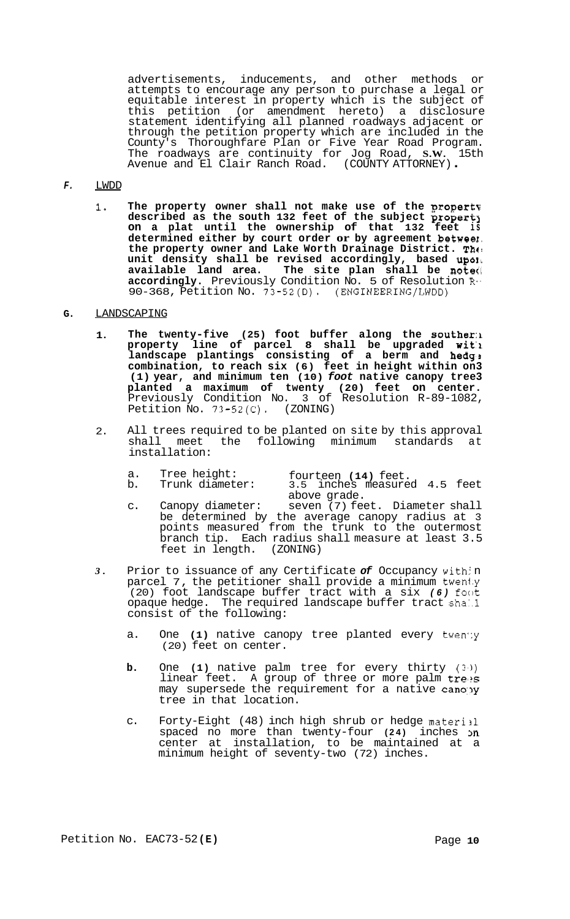advertisements, inducements, and other methods or attempts to encourage any person to purchase a legal or equitable interest in property which is the subject of this petition (or amendment hereto) a disclosure statement identifying all planned roadways adjacent or through the petition property which are included in the County's Thoroughfare Plan or Five Year Road Program. The roadways are continuity for Jog Road, **S.W.** 15th Avenue and El Clair Ranch Road. (COUNTY ATTORNEY) .

#### *F.*  LWDD

**1. The property owner shall not make use of the gropertv described as the south 132 feet of the subject propert3 on a plat until the ownership of that 132 feet is determined either by court order or by agreement betweel. the property owner and Lake Worth Drainage District. Thc! unit density shall be revised accordingly, based up011 available land area. The site plan shall be note<[ accordingly.** Previously Condition No. 5 of Resolution R-. 90-368, Petition No. 73-52(D). (ENGINEERING/LWDD)

#### **G.**  LANDSCAPING

- **1.**  The twenty-five (25) foot buffer along the souther:1 **property line of parcel 8 shall be upgraded wit'l landscape plantings consisting of a berm and hedg!, combination, to reach six (6) feet in height within on3 (1) year, and minimum ten (10)** *foot* **native canopy tree3 planted a maximum of twenty (20) feet on center.**  Previously Condition No. 3 of Resolution R-89-1082, Petition No. 73-52(C). (ZONING)
- 2. All trees required to be planted on site by this approval shall meet the following minimum standards at installation:
	- a. Tree height: fourteen (14) feet.<br>b. Trunk diameter: 3.5 inches measure

- 3.5 inches measured 4.5 feet above grade.
- c. Canopy diameter: seven (7) feet. Diameter shall be determined by the average canopy radius at 3 points measured from the trunk to the outermost branch tip. Each radius shall measure at least 3.5 feet in length. (ZONING)
- *3.*  Prior to issuance of any Certificate of Occupancy with n parcel 7, the petitioner shall provide a minimum twen1.y (20) foot landscape buffer tract with a six *(6)* foot opaque hedge. The required landscape buffer tract shaMl consist of the following:
	- a. One **(1)** native canopy tree planted every twen':y (20) feet on center.
	- **b.** One **(1)** native palm tree for every thirty **(3'))**  linear feet. A group of three or more palm trees may supersede the requirement for a native canopy tree in that location.
	- c. Forty-Eight (48) inch high shrub or hedge material spaced no more than twenty-four (24) inches on center at installation, to be maintained at a minimum height of seventy-two (72) inches.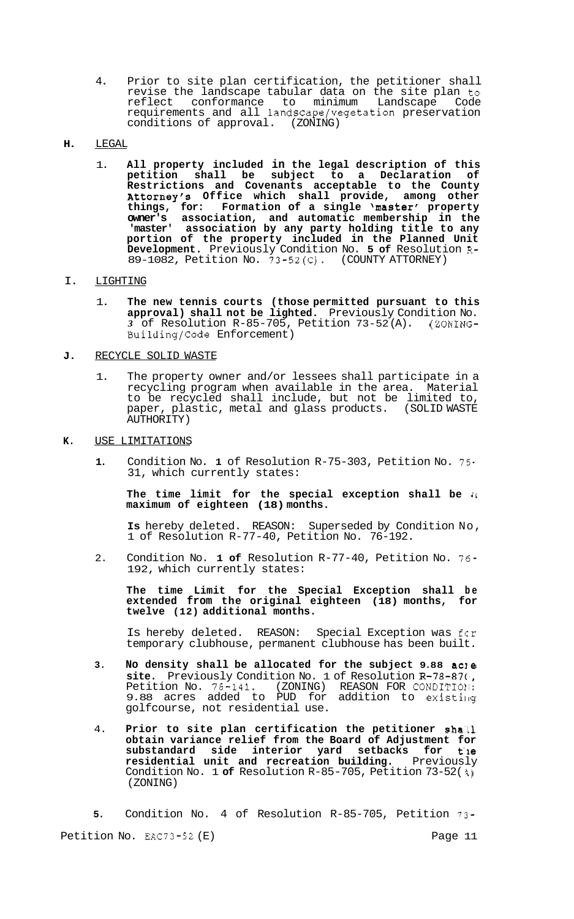- 4. Prior to site plan certification, the petitioner shall revise the landscape tabular data on the site plan to reflect conformance to minimum Landscape Code requirements and all landscape/vegetation preservation conditions of approval. (ZONING)
- **H.** LEGAL
	- 1. **All property included in the legal description of this petition shall be subject to a Declaration of Restrictions and Covenants acceptable to the County Attorney's Office which shall provide, among other things, for: Formation of a single 'master' property owner's association, and automatic membership in the 'master' association by any party holding title to any portion of the property included in the Planned Unit Development.** Previously Condition No. **5 of** Resolution **R-**89-1082, Petition No. 73-52(C). (COUNTY ATTORNEY)

#### I. LIGHTING

1. **The new tennis courts (those permitted pursuant to this approval) shall not be lighted.** Previously Condition No. *3* of Resolution R-85-705, Petition 73-52 (A). (ZONING-Building/Code Enforcement)

## **J.** RECYCLE SOLID WASTE

- 1. The property owner and/or lessees shall participate in a recycling program when available in the area. Material to be recycled shall include, but not be limited to, paper, plastic, metal and glass products. (SOLID WASTE AUTHORITY)
- **K.** USE LIMITATIONS
	- **1.** Condition No. **1** of Resolution R-75-303, Petition No. 75- 31, which currently states:

**The time limit for the special exception shall be il maximum of eighteen (18) months.** 

**Is** hereby deleted. REASON: Superseded by Condition No, 1 of Resolution R-77-40, Petition No. 76-192.

2. Condition No. **1 of** Resolution R-77-40, Petition No. 76- 192, which currently states:

**The time Limit for the Special Exception shall be extended from the original eighteen (18) months, for twelve (12) additional months.** 

Is hereby deleted. REASON: Special Exception was fcr temporary clubhouse, permanent clubhouse has been built.

- **3. No density shall be allocated for the subject 9.88 acle site.** Previously Condition No. 1 of Resolution R-78-87(', Petition No. 78-141. (ZONING) REASON FOR CONDITIOII: 9.88 acres added to PUD for addition to existing golfcourse, not residential use.
- 4. **Prior to site plan certification the petitioner shall obtain variance relief from the Board of Adjustment for substandard side interior yard setbacks for t'le residential unit and recreation building.** Previously Condition No. 1 **of** Resolution R-85-705, Petition 73-52( **4)**  (ZONING)

**5.** Condition No. 4 of Resolution R-85-705, Petition 73- Petition No. EAC73-52 (E) Page 11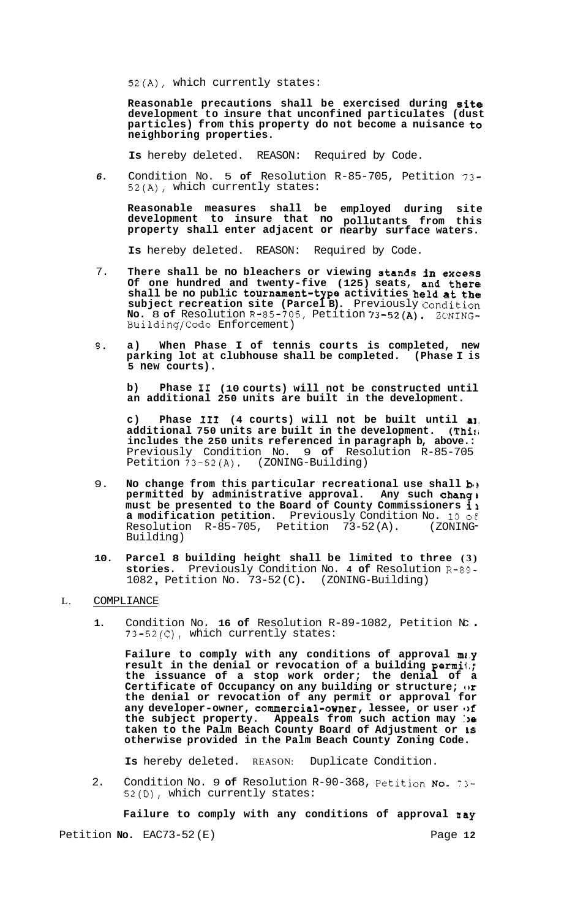52(A), which currently states:

**Reasonable precautions shall be exercised during site development to insure that unconfined particulates (dust particles) from this property do not become a nuisance to neighboring properties.** 

**Is** hereby deleted. REASON: Required by Code.

*6.* Condition No. 5 **of** Resolution R-85-705, Petition 73- **52(A),** which currently states:

**Reasonable measures shall be employed during site development to insure that no pollutants from this property shall enter adjacent or nearby surface waters.** 

**Is** hereby deleted. REASON: Required by Code.

- 7. **There shall be no bleachers or viewing stands in excess Of one hundred and twenty-five (125) seats, and there shall be no public tournament-type activities held at the subject recreation site (Parcel B).** Previously Condition **No.** 8 **of** Resolution R-85-705, Petition 73-52(A). ZONING-Building/Code Enforcement)
- **3. a) When Phase I of tennis courts is completed, new parking lot at clubhouse shall be completed. (Phase I is 5 new courts).**

**b) Phase I1 (10 courts) will not be constructed until an additional 250 units are built in the development.** 

**c) Phase I11 (4 courts) will not be built until a], additional 750 units are built in the development. (Thir; includes the 250 units referenced in paragraph b, above.:**  Previously Condition No. 9 **of** Resolution R-85-705 Petition 73-52(A). (ZONING-Building)

- 9. No change from this particular recreational use shall **b** permitted by administrative approval. Any such chang **} must be presented to the Board of County Commissioners il a modification petition.** Previously Condition No. 10 of<br>Resolution R-85-705, Petition 73-52(A). (ZONING Resolution  $R-85-705$ , Petition  $73-52(A)$ . Building)
- **10. Parcel 8 building height shall be limited to three (3) stories.** Previously Condition No. **4 of** Resolution R-89- <sup>1082</sup>, Petition No. 73-52 (C) . (ZONING-Building)

## L. COMPLIANCE

**1.** Condition No. **16 of** Resolution R-89-1082, Petition Nc . 73-52(C), which currently states:

**Failure to comply with any conditions of approval m2.y result in the denial or revocation of a building permii.; the issuance of a stop work order; the denial of a Certificate of Occupancy on any building or structure; or the denial or revocation of any permit or approval for**  any developer-owner, commercial-owner, lessee, or user of **the subject property. Appeals from such action may :)e taken to the Palm Beach County Board of Adjustment or LS otherwise provided in the Palm Beach County Zoning Code.** 

**Is** hereby deleted. REASON: Duplicate Condition.

2. Condition No. 9 **of** Resolution R-90-368, Petition NO. 73- 52(D), which currently states:

**Failure to comply with any conditions of approval may** 

Petition **No.** EAC73-52 (E) Page 12